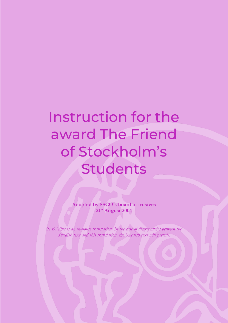## Instruction for the award The Friend of Stockholm's Students

**Adopted by SSCO's board of trustees 21st August 2004**

*N.B. This is an in-house translation. In the case of discrepancies between the Swedish text and this translation, the Swedish text will prevail.*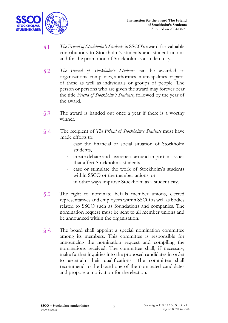

- § 1 *The Friend of Stockholm's Students* is SSCO's award for valuable contributions to Stockholm's students and student unions and for the promotion of Stockholm as a student city.
- § 2 *The Friend of Stockholm's Students* can be awarded to organisations, companies, authorities, municipalities or parts of these as well as individuals or groups of people. The person or persons who are given the award may forever bear the title *Friend of Stockholm's Students*, followed by the year of the award.
- § 3 The award is handed out once a year if there is a worthy winner.
- § 4 The recipient of *The Friend of Stockholm's Students* must have made efforts to:
	- ease the financial or social situation of Stockholm students,
	- create debate and awareness around important issues that affect Stockholm's students,
	- ease or stimulate the work of Stockholm's students within SSCO or the member unions, or
	- in other ways improve Stockholm as a student city.
- § 5 The right to nominate befalls member unions, elected representatives and employees within SSCO as well as bodies related to SSCO such as foundations and companies. The nomination request must be sent to all member unions and be announced within the organisation.
- § 6 The board shall appoint a special nomination committee among its members. This committee is responsible for announcing the nomination request and compiling the nominations received. The committee shall, if necessary, make further inquiries into the proposed candidates in order to ascertain their qualifications. The committee shall recommend to the board one of the nominated candidates and propose a motivation for the election.